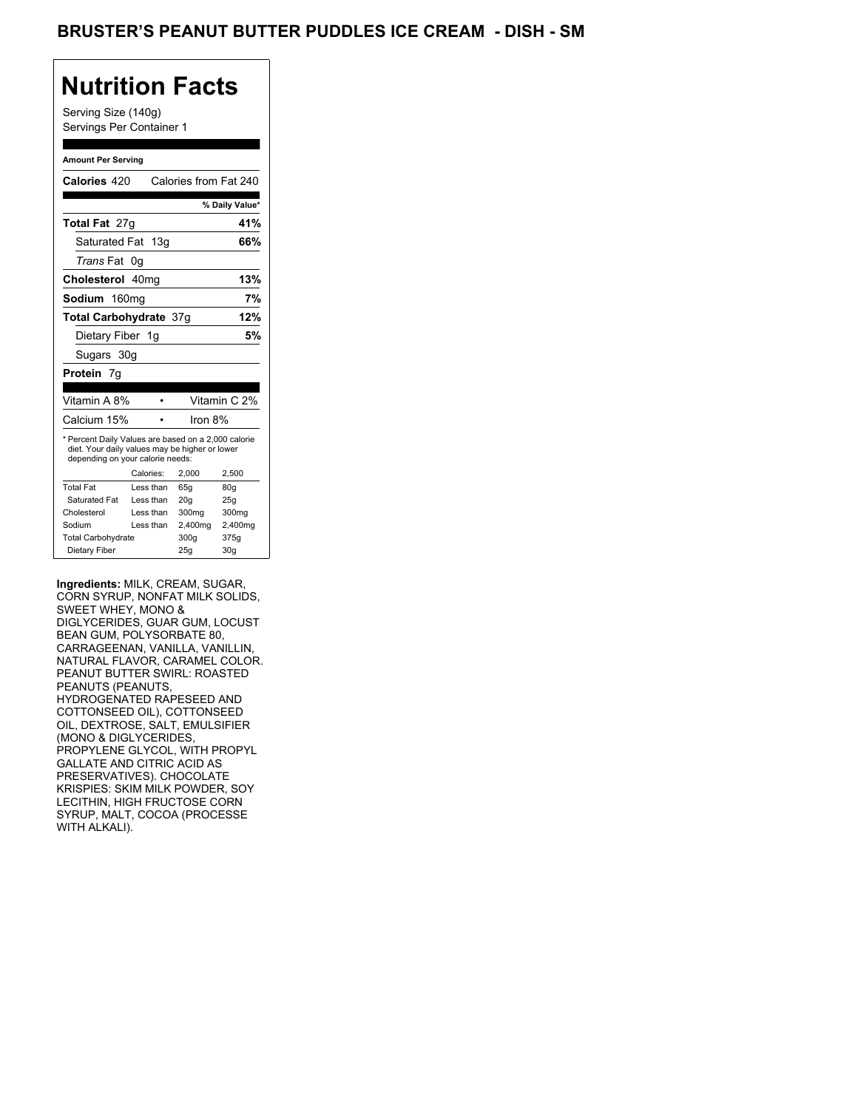## **Nutrition Facts**

Serving Size (140g) Servings Per Container 1

#### **Amount Per Serving**

| Calories 420                                                                                                                              |           | Calories from Fat 240 |                |
|-------------------------------------------------------------------------------------------------------------------------------------------|-----------|-----------------------|----------------|
|                                                                                                                                           |           |                       | % Daily Value* |
| Total Fat 27q                                                                                                                             |           |                       | 41%            |
| Saturated Fat 13g                                                                                                                         |           |                       | 66%            |
| <i>Trans</i> Fat                                                                                                                          | 0g        |                       |                |
| Cholesterol 40mg                                                                                                                          |           |                       | 13%            |
| Sodium 160mg                                                                                                                              |           |                       | 7%             |
| Total Carbohydrate 37q                                                                                                                    |           |                       | 12%            |
| Dietary Fiber 1g                                                                                                                          |           |                       | 5%             |
| Sugars 30g                                                                                                                                |           |                       |                |
| <b>Protein</b> 7g                                                                                                                         |           |                       |                |
|                                                                                                                                           |           |                       |                |
| Vitamin A 8%                                                                                                                              |           |                       | Vitamin C 2%   |
| Calcium 15%                                                                                                                               |           | Iron 8%               |                |
| * Percent Daily Values are based on a 2,000 calorie<br>diet. Your daily values may be higher or lower<br>depending on your calorie needs: |           |                       |                |
|                                                                                                                                           |           |                       |                |
|                                                                                                                                           | Calories: | 2.000                 | 2,500          |
| <b>Total Fat</b>                                                                                                                          | Less than | 65q                   | 80q            |
| Saturated Fat                                                                                                                             | Less than | 20q                   | 25q            |
| Cholesterol                                                                                                                               | Less than | 300mg                 | 300mg          |
| Sodium                                                                                                                                    | Less than | 2,400mg               | 2,400mg        |
| <b>Total Carbohydrate</b>                                                                                                                 |           | 300g                  | 375g           |

**Ingredients:** MILK, CREAM, SUGAR, CORN SYRUP, NONFAT MILK SOLIDS, SWEET WHEY, MONO & DIGLYCERIDES, GUAR GUM, LOCUST BEAN GUM, POLYSORBATE 80, CARRAGEENAN, VANILLA, VANILLIN, NATURAL FLAVOR, CARAMEL COLOR. PEANUT BUTTER SWIRL: ROASTED PEANUTS (PEANUTS, HYDROGENATED RAPESEED AND COTTONSEED OIL), COTTONSEED OIL, DEXTROSE, SALT, EMULSIFIER (MONO & DIGLYCERIDES, PROPYLENE GLYCOL, WITH PROPYL GALLATE AND CITRIC ACID AS PRESERVATIVES). CHOCOLATE KRISPIES: SKIM MILK POWDER, SOY LECITHIN, HIGH FRUCTOSE CORN SYRUP, MALT, COCOA (PROCESSE WITH ALKALI).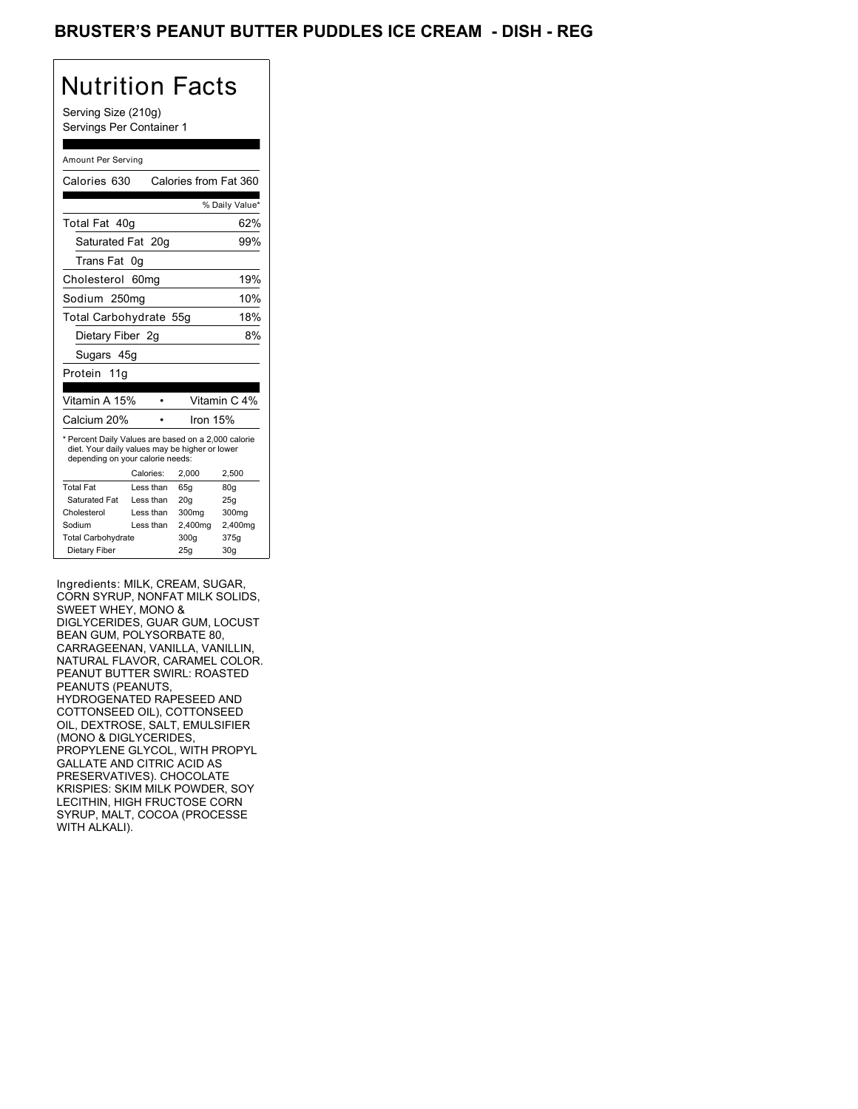## BRUSTER'S PEANUT BUTTER PUDDLES ICE CREAM - DISH - REG

# Nutrition Facts

Serving Size (210g) Servings Per Container 1

#### Amount Per Serving

| Calories 630                                                                                                                              |           | Calories from Fat 360 |                 |
|-------------------------------------------------------------------------------------------------------------------------------------------|-----------|-----------------------|-----------------|
|                                                                                                                                           |           |                       | % Daily Value*  |
| Total Fat 40g                                                                                                                             |           |                       | 62%             |
| Saturated Fat 20g                                                                                                                         |           |                       | 99%             |
| Trans Fat                                                                                                                                 | 0g        |                       |                 |
| Cholesterol                                                                                                                               | 60mq      |                       | 19%             |
| Sodium 250mg                                                                                                                              |           |                       | 10%             |
| Total Carbohydrate 55g                                                                                                                    |           |                       | 18%             |
| Dietary Fiber 2g                                                                                                                          |           |                       | 8%              |
| Sugars 45g                                                                                                                                |           |                       |                 |
| Protein 11g                                                                                                                               |           |                       |                 |
|                                                                                                                                           |           |                       |                 |
| Vitamin A 15%                                                                                                                             |           |                       | Vitamin C 4%    |
| Calcium 20%                                                                                                                               |           | Iron $15%$            |                 |
| * Percent Daily Values are based on a 2,000 calorie<br>diet. Your daily values may be higher or lower<br>depending on your calorie needs: |           |                       |                 |
|                                                                                                                                           | Calories: | 2.000                 | 2,500           |
| <b>Total Fat</b>                                                                                                                          | Less than | 65q                   | 80 <sub>g</sub> |
| Saturated Fat                                                                                                                             | Less than | 20 <sub>g</sub>       | 25g             |
| Cholesterol                                                                                                                               | Less than | 300 <sub>mq</sub>     | 300mg           |
| Sodium                                                                                                                                    | Less than | 2,400mg               | 2,400mg         |
| <b>Total Carbohydrate</b>                                                                                                                 |           | 300g                  | 375g            |
| Dietary Fiber                                                                                                                             |           | 25q                   |                 |

Ingredients: MILK, CREAM, SUGAR, CORN SYRUP, NONFAT MILK SOLIDS, SWEET WHEY, MONO & DIGLYCERIDES, GUAR GUM, LOCUST BEAN GUM, POLYSORBATE 80, CARRAGEENAN, VANILLA, VANILLIN, NATURAL FLAVOR, CARAMEL COLOR. PEANUT BUTTER SWIRL: ROASTED PEANUTS (PEANUTS, HYDROGENATED RAPESEED AND COTTONSEED OIL), COTTONSEED OIL, DEXTROSE, SALT, EMULSIFIER (MONO & DIGLYCERIDES, PROPYLENE GLYCOL, WITH PROPYL GALLATE AND CITRIC ACID AS PRESERVATIVES). CHOCOLATE KRISPIES: SKIM MILK POWDER, SOY LECITHIN, HIGH FRUCTOSE CORN SYRUP, MALT, COCOA (PROCESSE WITH ALKALI).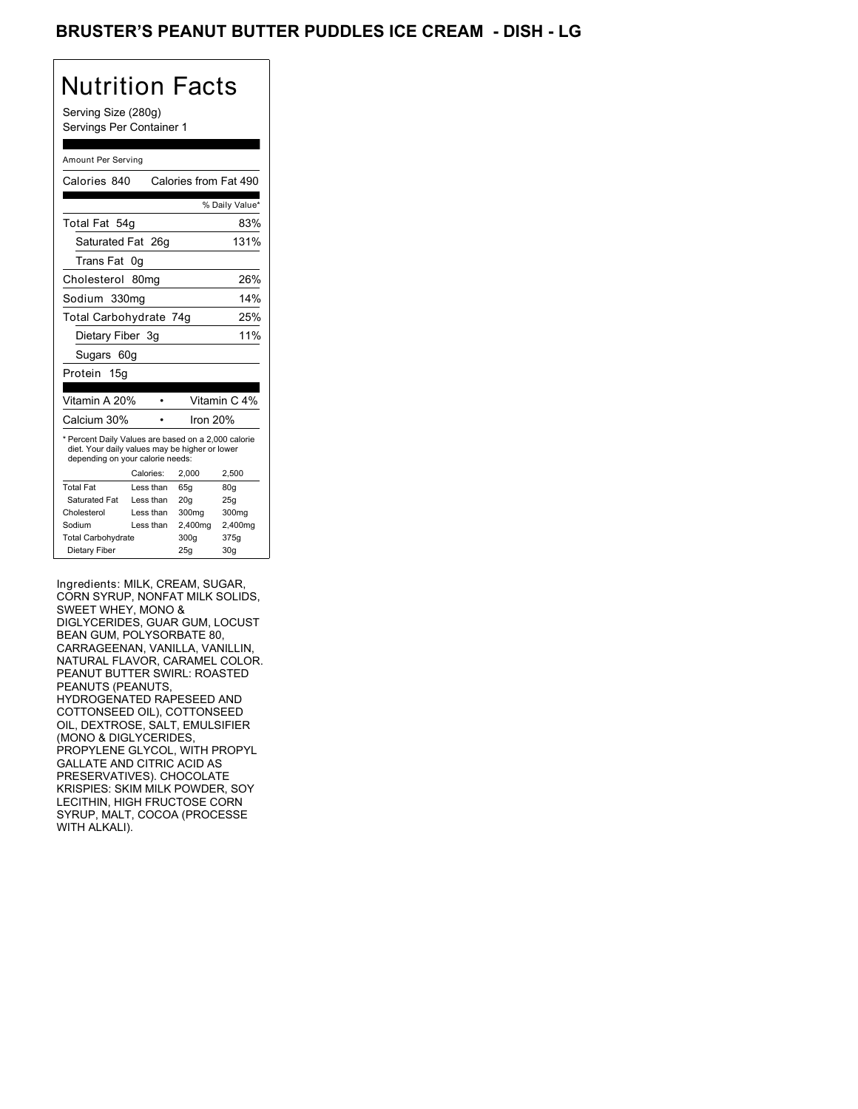## BRUSTER'S PEANUT BUTTER PUDDLES ICE CREAM - DISH <mark>-</mark> LG

# Nutrition Facts

Serving Size (280g) Servings Per Container 1

#### Amount Per Serving

| Calories 840                                                                                                                              |                  | Calories from Fat 490 |                |
|-------------------------------------------------------------------------------------------------------------------------------------------|------------------|-----------------------|----------------|
|                                                                                                                                           |                  |                       | % Daily Value* |
| Total Fat 54g                                                                                                                             |                  |                       | 83%            |
| Saturated Fat 26g                                                                                                                         |                  |                       | 131%           |
| Trans Fat                                                                                                                                 | 0g               |                       |                |
| Cholesterol                                                                                                                               | 80 <sub>mq</sub> |                       | 26%            |
| Sodium 330mg                                                                                                                              |                  |                       | 14%            |
| Total Carbohydrate 74g                                                                                                                    |                  |                       | 25%            |
| Dietary Fiber 3g                                                                                                                          |                  |                       | 11%            |
| Sugars 60g                                                                                                                                |                  |                       |                |
| Protein 15g                                                                                                                               |                  |                       |                |
|                                                                                                                                           |                  |                       |                |
| Vitamin A 20%                                                                                                                             |                  |                       | Vitamin C 4%   |
| Calcium 30%                                                                                                                               |                  | Iron 20%              |                |
| * Percent Daily Values are based on a 2,000 calorie<br>diet. Your daily values may be higher or lower<br>depending on your calorie needs: |                  |                       |                |
|                                                                                                                                           | Calories:        | 2,000                 | 2,500          |
| <b>Total Fat</b>                                                                                                                          | Less than        | 65q                   | 80q            |
| Saturated Fat                                                                                                                             | Less than        | 20q                   | 25q            |
| Cholesterol                                                                                                                               | Less than        | 300mg                 | 300mg          |
| Sodium                                                                                                                                    | Less than        | 2,400mg               | 2,400mg        |
| <b>Total Carbohydrate</b>                                                                                                                 |                  | 300g                  | 375g           |
| Dietary Fiber                                                                                                                             |                  | 25q                   | 30q            |

Ingredients: MILK, CREAM, SUGAR, CORN SYRUP, NONFAT MILK SOLIDS, SWEET WHEY, MONO & DIGLYCERIDES, GUAR GUM, LOCUST BEAN GUM, POLYSORBATE 80, CARRAGEENAN, VANILLA, VANILLIN, NATURAL FLAVOR, CARAMEL COLOR. PEANUT BUTTER SWIRL: ROASTED PEANUTS (PEANUTS, HYDROGENATED RAPESEED AND COTTONSEED OIL), COTTONSEED OIL, DEXTROSE, SALT, EMULSIFIER (MONO & DIGLYCERIDES, PROPYLENE GLYCOL, WITH PROPYL GALLATE AND CITRIC ACID AS PRESERVATIVES). CHOCOLATE KRISPIES: SKIM MILK POWDER, SOY LECITHIN, HIGH FRUCTOSE CORN SYRUP, MALT, COCOA (PROCESSE WITH ALKALI).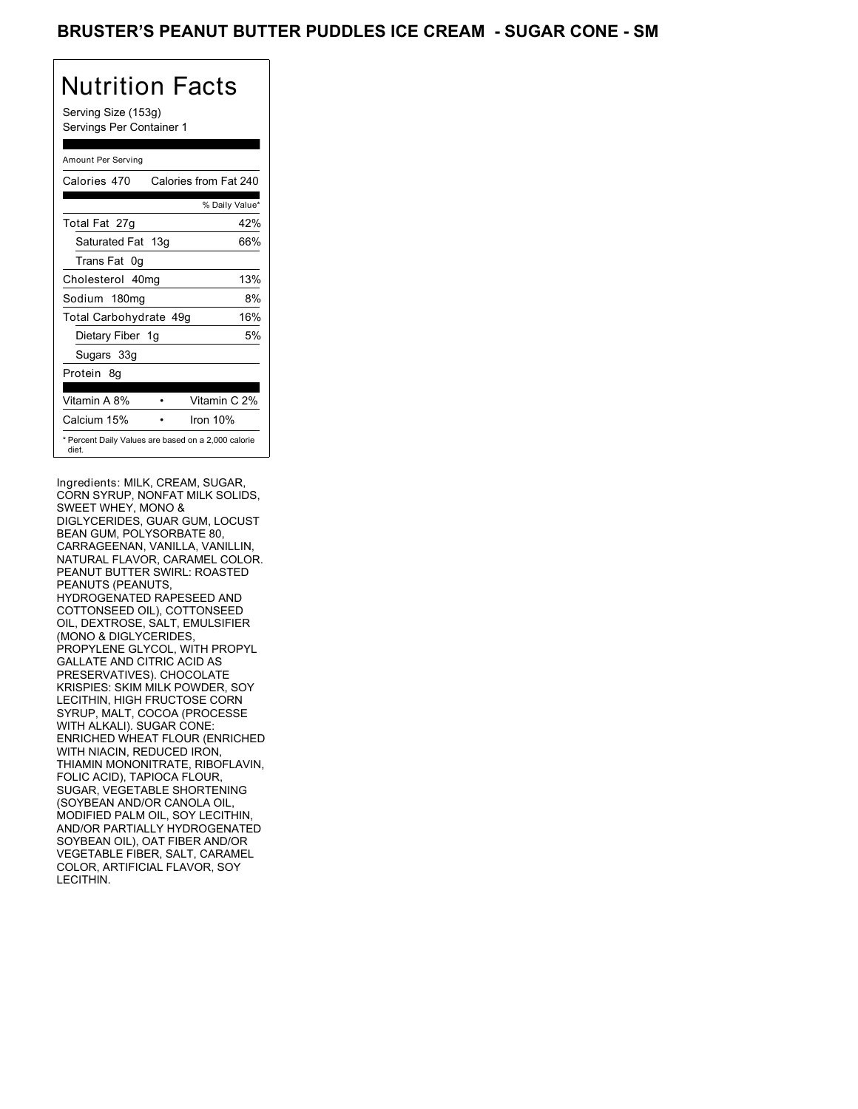### BRUSTER'S PEANUT BUTTER PUDDLES ICE CREAM - SUGAR CONE - SM

# Nutrition Facts

Serving Size (153g) Servings Per Container 1

#### Amount Per Serving

| Calories 470                                                 | Calories from Fat 240 |
|--------------------------------------------------------------|-----------------------|
|                                                              | % Daily Value*        |
| Total Fat 27g                                                | 42%                   |
| Saturated Fat 13g                                            | 66%                   |
| Trans Fat 0q                                                 |                       |
| Cholesterol 40mg                                             | 13%                   |
| Sodium 180mg                                                 | 8%                    |
| Total Carbohydrate 49g                                       | 16%                   |
| Dietary Fiber 1g                                             | 5%                    |
| Sugars 33g                                                   |                       |
| Protein 8q                                                   |                       |
| Vitamin A 8%                                                 | Vitamin C 2%          |
| Calcium 15%                                                  | Iron $10%$            |
| * Percent Daily Values are based on a 2,000 calorie<br>diet. |                       |

Ingredients: MILK, CREAM, SUGAR, CORN SYRUP, NONFAT MILK SOLIDS, SWEET WHEY, MONO & DIGLYCERIDES, GUAR GUM, LOCUST BEAN GUM, POLYSORBATE 80, CARRAGEENAN, VANILLA, VANILLIN, NATURAL FLAVOR, CARAMEL COLOR. PEANUT BUTTER SWIRL: ROASTED PEANUTS (PEANUTS, HYDROGENATED RAPESEED AND COTTONSEED OIL), COTTONSEED OIL, DEXTROSE, SALT, EMULSIFIER (MONO & DIGLYCERIDES, PROPYLENE GLYCOL, WITH PROPYL GALLATE AND CITRIC ACID AS PRESERVATIVES). CHOCOLATE KRISPIES: SKIM MILK POWDER, SOY LECITHIN, HIGH FRUCTOSE CORN SYRUP, MALT, COCOA (PROCESSE WITH ALKALI). SUGAR CONE: ENRICHED WHEAT FLOUR (ENRICHED WITH NIACIN, REDUCED IRON, THIAMIN MONONITRATE, RIBOFLAVIN, FOLIC ACID), TAPIOCA FLOUR, SUGAR, VEGETABLE SHORTENING (SOYBEAN AND/OR CANOLA OIL, MODIFIED PALM OIL, SOY LECITHIN, AND/OR PARTIALLY HYDROGENATED SOYBEAN OIL), OAT FIBER AND/OR VEGETABLE FIBER, SALT, CARAMEL COLOR, ARTIFICIAL FLAVOR, SOY LECITHIN.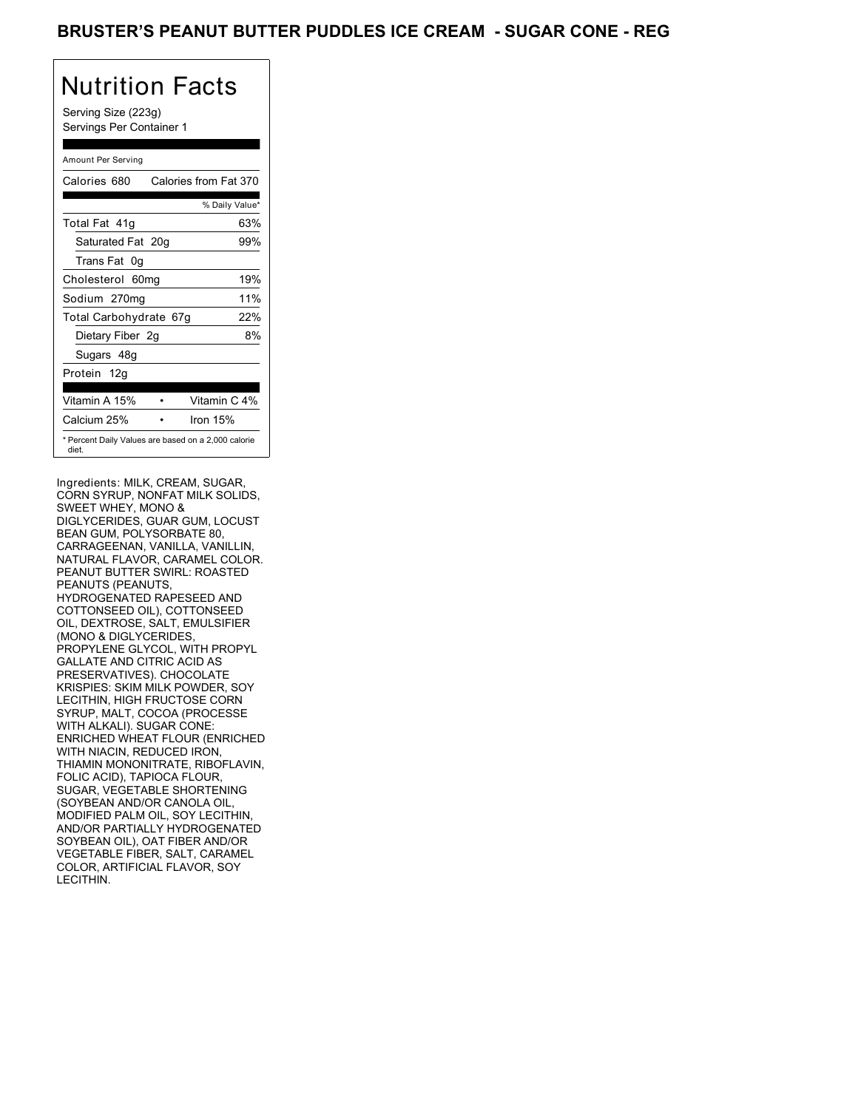### BRUSTER'S PEANUT BUTTER PUDDLES ICE CREAM - SUGAR CONE - REG

# Nutrition Facts

Serving Size (223g) Servings Per Container 1

#### Amount Per Serving

| Calories 680           | Calories from Fat 370                               |
|------------------------|-----------------------------------------------------|
|                        | % Daily Value*                                      |
| Total Fat 41q          | 63%                                                 |
| Saturated Fat 20g      | 99%                                                 |
| Trans Fat 0q           |                                                     |
| Cholesterol 60mg       | 19%                                                 |
| Sodium 270mg           | 11%                                                 |
| Total Carbohydrate 67g | 22%                                                 |
| Dietary Fiber 2g       | 8%                                                  |
| Sugars 48g             |                                                     |
| Protein 12g            |                                                     |
| Vitamin A 15%          | Vitamin C 4%                                        |
| Calcium 25%            | Iron 15%                                            |
| diet.                  | * Percent Daily Values are based on a 2,000 calorie |

Ingredients: MILK, CREAM, SUGAR, CORN SYRUP, NONFAT MILK SOLIDS, SWEET WHEY, MONO & DIGLYCERIDES, GUAR GUM, LOCUST BEAN GUM, POLYSORBATE 80, CARRAGEENAN, VANILLA, VANILLIN, NATURAL FLAVOR, CARAMEL COLOR. PEANUT BUTTER SWIRL: ROASTED PEANUTS (PEANUTS, HYDROGENATED RAPESEED AND COTTONSEED OIL), COTTONSEED OIL, DEXTROSE, SALT, EMULSIFIER (MONO & DIGLYCERIDES, PROPYLENE GLYCOL, WITH PROPYL GALLATE AND CITRIC ACID AS PRESERVATIVES). CHOCOLATE KRISPIES: SKIM MILK POWDER, SOY LECITHIN, HIGH FRUCTOSE CORN SYRUP, MALT, COCOA (PROCESSE WITH ALKALI). SUGAR CONE: ENRICHED WHEAT FLOUR (ENRICHED WITH NIACIN, REDUCED IRON, THIAMIN MONONITRATE, RIBOFLAVIN, FOLIC ACID), TAPIOCA FLOUR, SUGAR, VEGETABLE SHORTENING (SOYBEAN AND/OR CANOLA OIL, MODIFIED PALM OIL, SOY LECITHIN, AND/OR PARTIALLY HYDROGENATED SOYBEAN OIL), OAT FIBER AND/OR VEGETABLE FIBER, SALT, CARAMEL COLOR, ARTIFICIAL FLAVOR, SOY LECITHIN.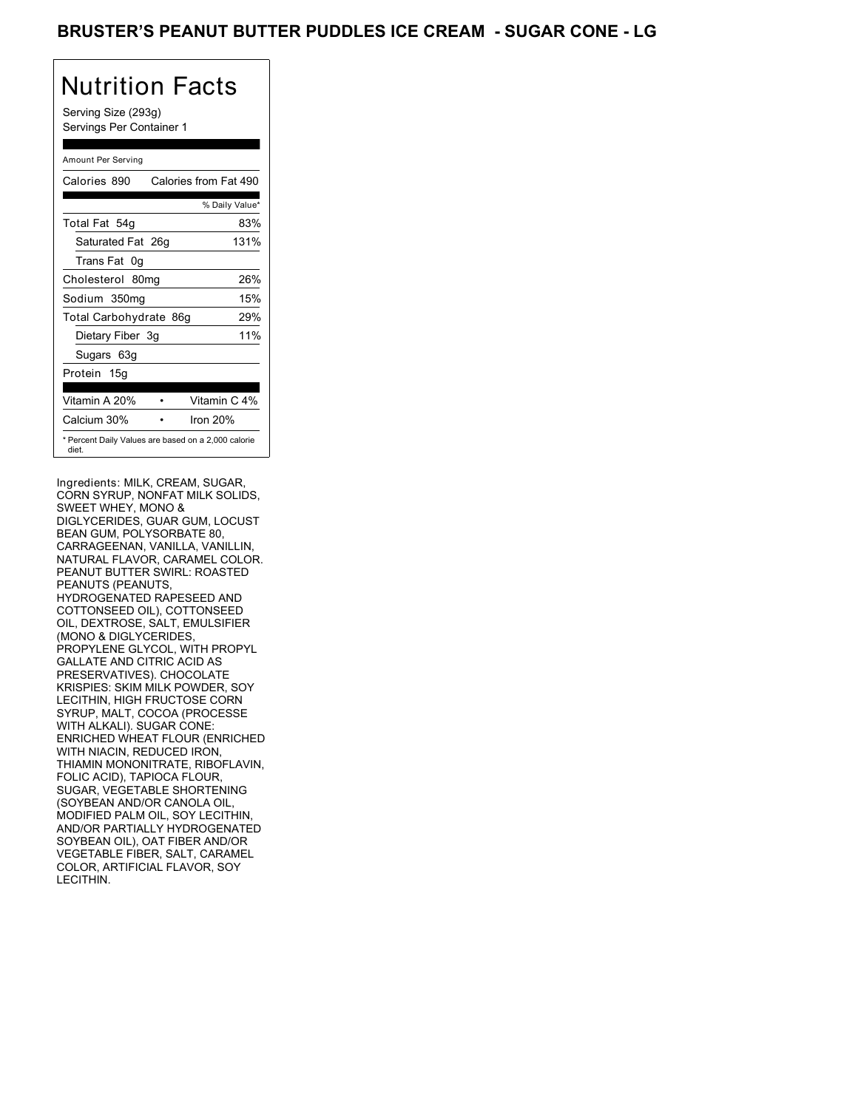## BRUSTER'S PEANUT BUTTER PUDDLES ICE CREAM - SUGAR CONE - LG

# Nutrition Facts

Serving Size (293g) Servings Per Container 1

#### Amount Per Serving

| Calories 890           | Calories from Fat 490                               |
|------------------------|-----------------------------------------------------|
|                        | % Daily Value*                                      |
| Total Fat 54g          | 83%                                                 |
| Saturated Fat 26g      | 131%                                                |
| Trans Fat 0q           |                                                     |
| Cholesterol 80mg       | 26%                                                 |
| Sodium 350mg           | 15%                                                 |
| Total Carbohydrate 86g | 29%                                                 |
| Dietary Fiber 3g       | 11%                                                 |
| Sugars 63g             |                                                     |
| Protein 15g            |                                                     |
| Vitamin A 20%          | Vitamin C 4%                                        |
| Calcium 30%            | Iron 20%                                            |
| diet.                  | * Percent Daily Values are based on a 2,000 calorie |

Ingredients: MILK, CREAM, SUGAR, CORN SYRUP, NONFAT MILK SOLIDS, SWEET WHEY, MONO & DIGLYCERIDES, GUAR GUM, LOCUST BEAN GUM, POLYSORBATE 80, CARRAGEENAN, VANILLA, VANILLIN, NATURAL FLAVOR, CARAMEL COLOR. PEANUT BUTTER SWIRL: ROASTED PEANUTS (PEANUTS, HYDROGENATED RAPESEED AND COTTONSEED OIL), COTTONSEED OIL, DEXTROSE, SALT, EMULSIFIER (MONO & DIGLYCERIDES, PROPYLENE GLYCOL, WITH PROPYL GALLATE AND CITRIC ACID AS PRESERVATIVES). CHOCOLATE KRISPIES: SKIM MILK POWDER, SOY LECITHIN, HIGH FRUCTOSE CORN SYRUP, MALT, COCOA (PROCESSE WITH ALKALI). SUGAR CONE: ENRICHED WHEAT FLOUR (ENRICHED WITH NIACIN, REDUCED IRON, THIAMIN MONONITRATE, RIBOFLAVIN, FOLIC ACID), TAPIOCA FLOUR, SUGAR, VEGETABLE SHORTENING (SOYBEAN AND/OR CANOLA OIL, MODIFIED PALM OIL, SOY LECITHIN, AND/OR PARTIALLY HYDROGENATED SOYBEAN OIL), OAT FIBER AND/OR VEGETABLE FIBER, SALT, CARAMEL COLOR, ARTIFICIAL FLAVOR, SOY LECITHIN.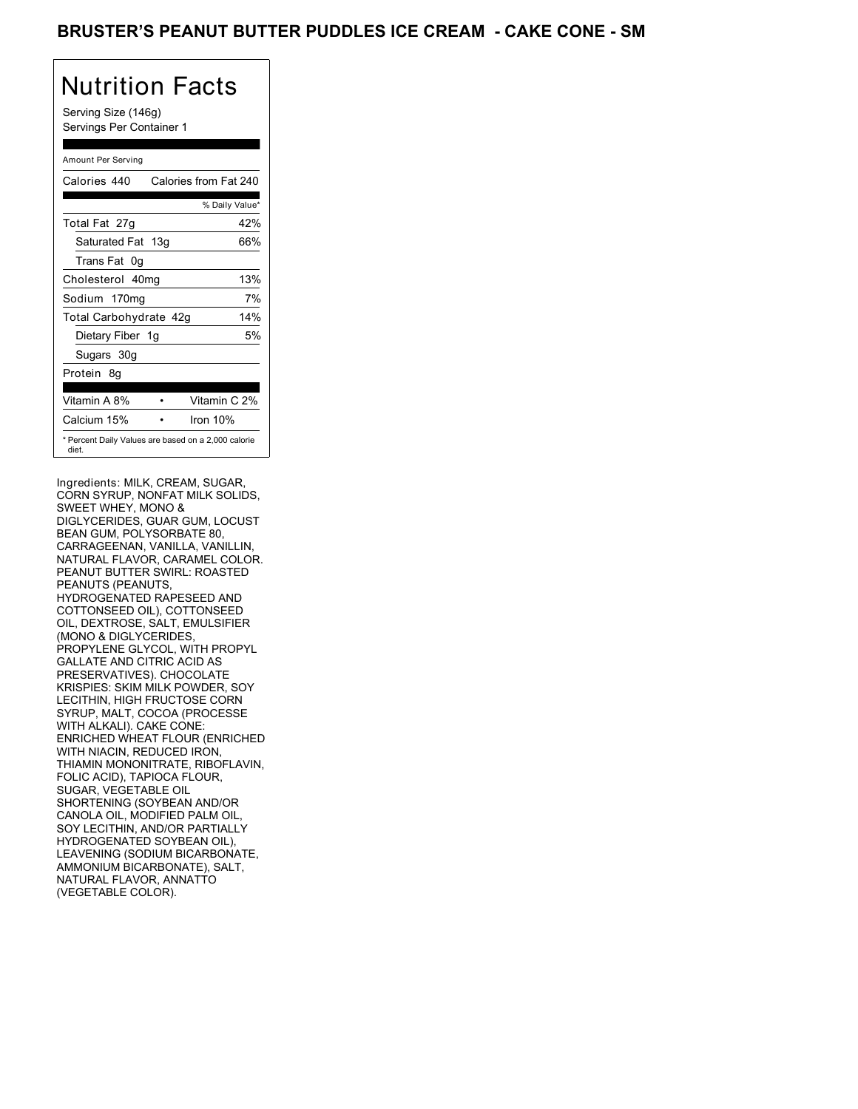### BRUSTER'S PEANUT BUTTER PUDDLES ICE CREAM - CAKE CONE - SM

## Nutrition Facts

Serving Size (146g) Servings Per Container 1

#### Amount Per Serving

| Calories 440                                                 | Calories from Fat 240 |
|--------------------------------------------------------------|-----------------------|
|                                                              | % Daily Value*        |
| Total Fat 27g                                                | 42%                   |
| Saturated Fat 13g                                            | 66%                   |
| Trans Fat 0q                                                 |                       |
| Cholesterol 40mg                                             | 13%                   |
| Sodium 170mg                                                 | 7%                    |
| Total Carbohydrate 42g                                       | 14%                   |
| Dietary Fiber 1g                                             | 5%                    |
| Sugars 30g                                                   |                       |
| Protein 8q                                                   |                       |
| Vitamin A 8%                                                 | Vitamin C 2%          |
| Calcium 15%                                                  | Iron $10%$            |
| * Percent Daily Values are based on a 2,000 calorie<br>diet. |                       |

Ingredients: MILK, CREAM, SUGAR, CORN SYRUP, NONFAT MILK SOLIDS, SWEET WHEY, MONO & DIGLYCERIDES, GUAR GUM, LOCUST BEAN GUM, POLYSORBATE 80, CARRAGEENAN, VANILLA, VANILLIN, NATURAL FLAVOR, CARAMEL COLOR. PEANUT BUTTER SWIRL: ROASTED PEANUTS (PEANUTS, HYDROGENATED RAPESEED AND COTTONSEED OIL), COTTONSEED OIL, DEXTROSE, SALT, EMULSIFIER (MONO & DIGLYCERIDES, PROPYLENE GLYCOL, WITH PROPYL GALLATE AND CITRIC ACID AS PRESERVATIVES). CHOCOLATE KRISPIES: SKIM MILK POWDER, SOY LECITHIN, HIGH FRUCTOSE CORN SYRUP, MALT, COCOA (PROCESSE WITH ALKALI). CAKE CONE: ENRICHED WHEAT FLOUR (ENRICHED WITH NIACIN, REDUCED IRON, THIAMIN MONONITRATE, RIBOFLAVIN, FOLIC ACID), TAPIOCA FLOUR, SUGAR, VEGETABLE OIL SHORTENING (SOYBEAN AND/OR CANOLA OIL, MODIFIED PALM OIL, SOY LECITHIN, AND/OR PARTIALLY HYDROGENATED SOYBEAN OIL), LEAVENING (SODIUM BICARBONATE, AMMONIUM BICARBONATE), SALT, NATURAL FLAVOR, ANNATTO (VEGETABLE COLOR).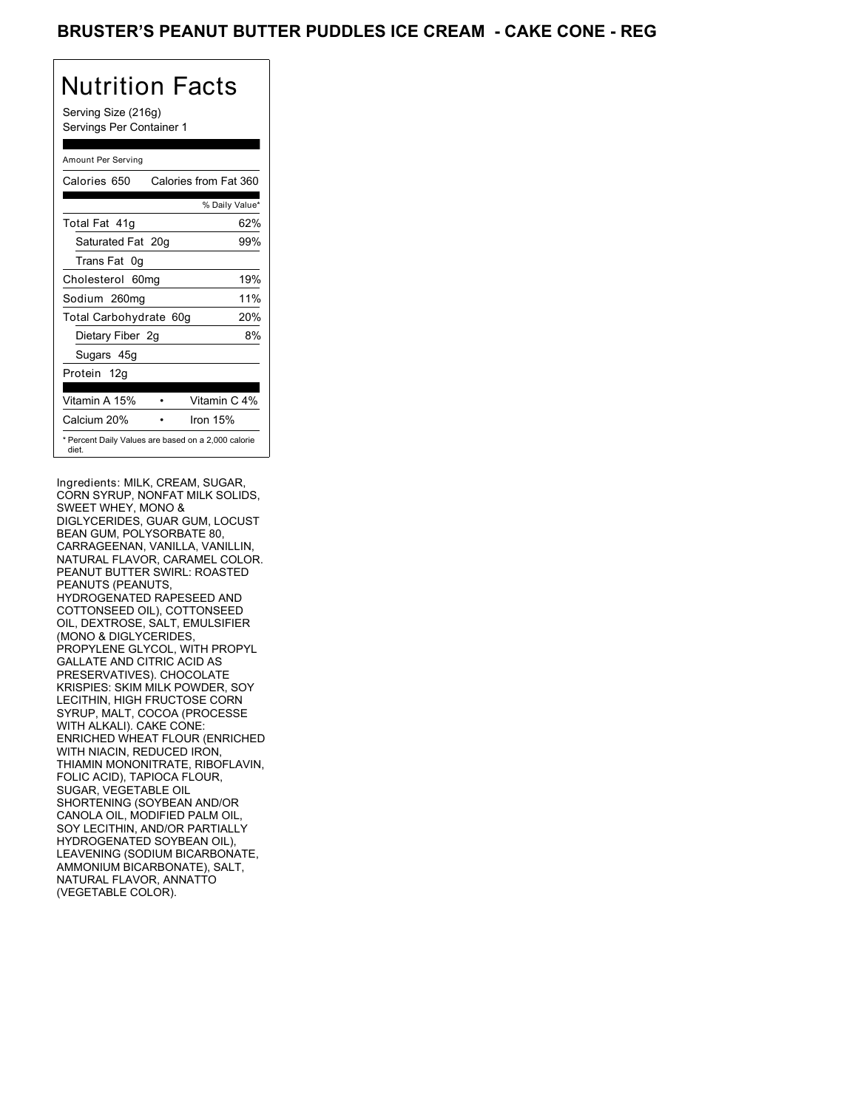### BRUSTER'S PEANUT BUTTER PUDDLES ICE CREAM - CAKE CONE - REG

# Nutrition Facts

Serving Size (216g) Servings Per Container 1

#### Amount Per Serving

| Calories 650                                                 | Calories from Fat 360 |                |
|--------------------------------------------------------------|-----------------------|----------------|
|                                                              |                       | % Daily Value* |
| Total Fat 41q                                                |                       | 62%            |
| Saturated Fat 20g                                            |                       | 99%            |
| Trans Fat 0q                                                 |                       |                |
| Cholesterol 60mg                                             |                       | 19%            |
| Sodium 260mg                                                 |                       | 11%            |
| Total Carbohydrate 60g                                       |                       | 20%            |
| Dietary Fiber 2g                                             |                       | 8%             |
| Sugars 45g                                                   |                       |                |
| Protein 12g                                                  |                       |                |
| Vitamin A 15%                                                |                       | Vitamin C 4%   |
| Calcium 20%                                                  | Iron 15%              |                |
| * Percent Daily Values are based on a 2,000 calorie<br>diet. |                       |                |

Ingredients: MILK, CREAM, SUGAR, CORN SYRUP, NONFAT MILK SOLIDS, SWEET WHEY, MONO & DIGLYCERIDES, GUAR GUM, LOCUST BEAN GUM, POLYSORBATE 80, CARRAGEENAN, VANILLA, VANILLIN, NATURAL FLAVOR, CARAMEL COLOR. PEANUT BUTTER SWIRL: ROASTED PEANUTS (PEANUTS, HYDROGENATED RAPESEED AND COTTONSEED OIL), COTTONSEED OIL, DEXTROSE, SALT, EMULSIFIER (MONO & DIGLYCERIDES, PROPYLENE GLYCOL, WITH PROPYL GALLATE AND CITRIC ACID AS PRESERVATIVES). CHOCOLATE KRISPIES: SKIM MILK POWDER, SOY LECITHIN, HIGH FRUCTOSE CORN SYRUP, MALT, COCOA (PROCESSE WITH ALKALI). CAKE CONE: ENRICHED WHEAT FLOUR (ENRICHED WITH NIACIN, REDUCED IRON, THIAMIN MONONITRATE, RIBOFLAVIN, FOLIC ACID), TAPIOCA FLOUR, SUGAR, VEGETABLE OIL SHORTENING (SOYBEAN AND/OR CANOLA OIL, MODIFIED PALM OIL, SOY LECITHIN, AND/OR PARTIALLY HYDROGENATED SOYBEAN OIL), LEAVENING (SODIUM BICARBONATE, AMMONIUM BICARBONATE), SALT, NATURAL FLAVOR, ANNATTO (VEGETABLE COLOR).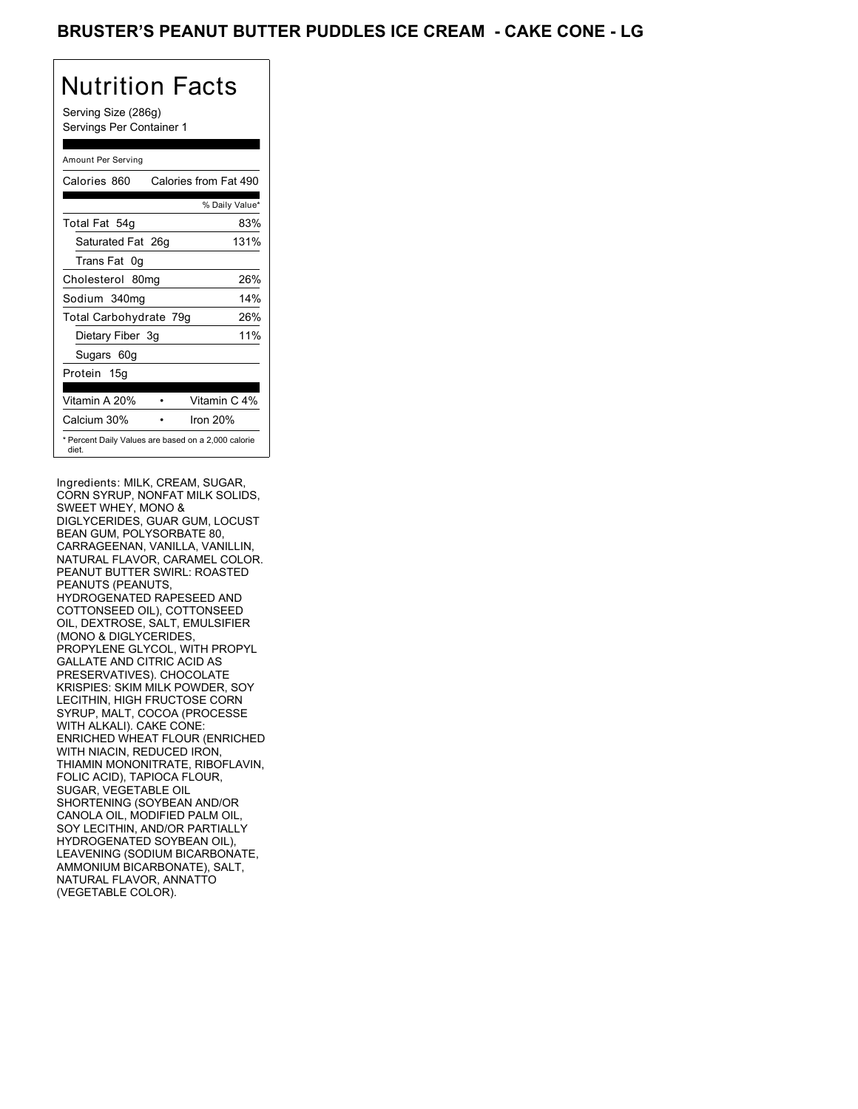## BRUSTER'S PEANUT BUTTER PUDDLES ICE CREAM - CAKE CONE - LG

# Nutrition Facts

Serving Size (286g) Servings Per Container 1

#### Amount Per Serving

| Calories 860           | Calories from Fat 490                               |
|------------------------|-----------------------------------------------------|
|                        | % Daily Value*                                      |
| Total Fat 54g          | 83%                                                 |
| Saturated Fat 26g      | 131%                                                |
| Trans Fat 0q           |                                                     |
| Cholesterol 80mg       | 26%                                                 |
| Sodium 340mg           | 14%                                                 |
| Total Carbohydrate 79g | 26%                                                 |
| Dietary Fiber 3g       | 11%                                                 |
| Sugars 60g             |                                                     |
| Protein 15g            |                                                     |
| Vitamin A 20%          | Vitamin C 4%                                        |
| Calcium 30%            | Iron 20%                                            |
| diet.                  | * Percent Daily Values are based on a 2,000 calorie |

Ingredients: MILK, CREAM, SUGAR, CORN SYRUP, NONFAT MILK SOLIDS, SWEET WHEY, MONO & DIGLYCERIDES, GUAR GUM, LOCUST BEAN GUM, POLYSORBATE 80, CARRAGEENAN, VANILLA, VANILLIN, NATURAL FLAVOR, CARAMEL COLOR. PEANUT BUTTER SWIRL: ROASTED PEANUTS (PEANUTS, HYDROGENATED RAPESEED AND COTTONSEED OIL), COTTONSEED OIL, DEXTROSE, SALT, EMULSIFIER (MONO & DIGLYCERIDES, PROPYLENE GLYCOL, WITH PROPYL GALLATE AND CITRIC ACID AS PRESERVATIVES). CHOCOLATE KRISPIES: SKIM MILK POWDER, SOY LECITHIN, HIGH FRUCTOSE CORN SYRUP, MALT, COCOA (PROCESSE WITH ALKALI). CAKE CONE: ENRICHED WHEAT FLOUR (ENRICHED WITH NIACIN, REDUCED IRON, THIAMIN MONONITRATE, RIBOFLAVIN, FOLIC ACID), TAPIOCA FLOUR, SUGAR, VEGETABLE OIL SHORTENING (SOYBEAN AND/OR CANOLA OIL, MODIFIED PALM OIL, SOY LECITHIN, AND/OR PARTIALLY HYDROGENATED SOYBEAN OIL), LEAVENING (SODIUM BICARBONATE, AMMONIUM BICARBONATE), SALT, NATURAL FLAVOR, ANNATTO (VEGETABLE COLOR).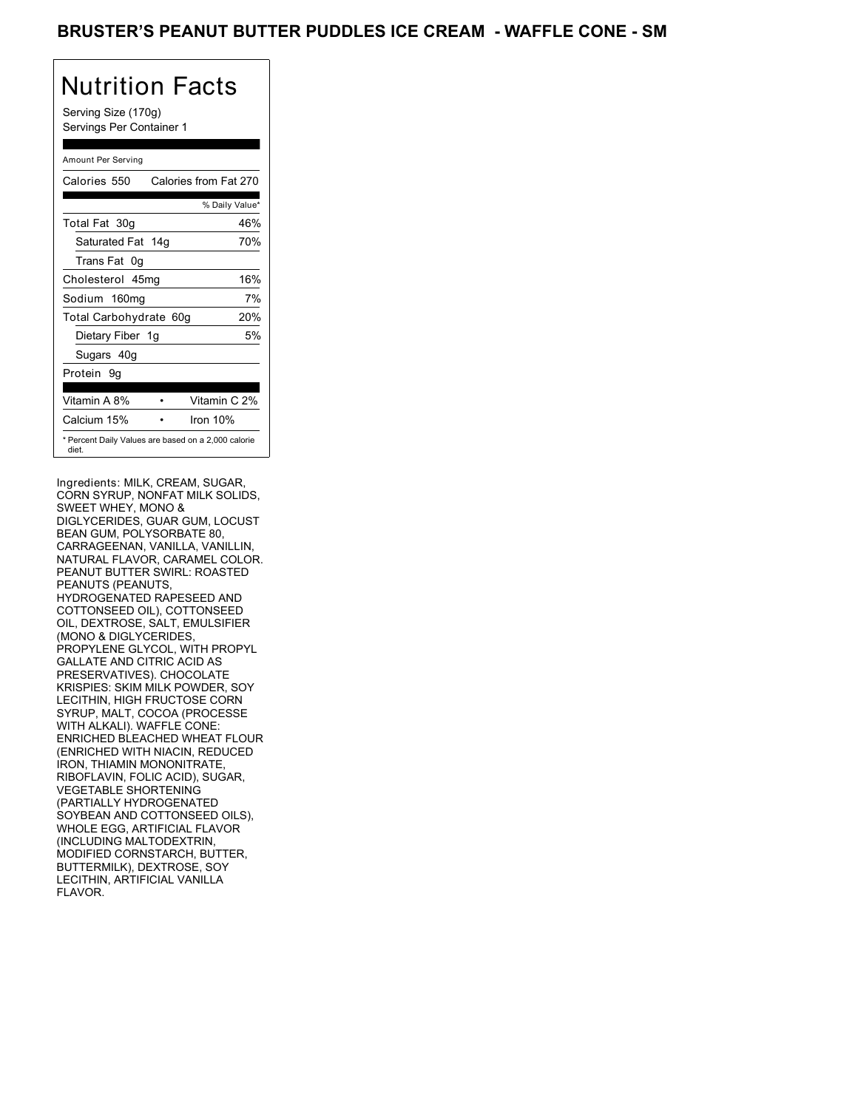### BRUSTER'S PEANUT BUTTER PUDDLES ICE CREAM - WAFFLE CONE - SM

# Nutrition Facts

Serving Size (170g) Servings Per Container 1

#### Amount Per Serving

| Calories 550           | Calories from Fat 270                               |
|------------------------|-----------------------------------------------------|
|                        | % Daily Value*                                      |
| Total Fat 30g          | 46%                                                 |
| Saturated Fat 14g      | 70%                                                 |
| Trans Fat 0q           |                                                     |
| Cholesterol 45mg       | 16%                                                 |
| Sodium 160mg           | 7%                                                  |
| Total Carbohydrate 60g | 20%                                                 |
| Dietary Fiber 1g       | 5%                                                  |
| Sugars 40g             |                                                     |
| Protein 9q             |                                                     |
| Vitamin A 8%           | Vitamin C 2%                                        |
| Calcium 15%            | Iron 10%                                            |
| diet.                  | * Percent Daily Values are based on a 2,000 calorie |

Ingredients: MILK, CREAM, SUGAR, CORN SYRUP, NONFAT MILK SOLIDS, SWEET WHEY, MONO & DIGLYCERIDES, GUAR GUM, LOCUST BEAN GUM, POLYSORBATE 80, CARRAGEENAN, VANILLA, VANILLIN, NATURAL FLAVOR, CARAMEL COLOR. PEANUT BUTTER SWIRL: ROASTED PEANUTS (PEANUTS, HYDROGENATED RAPESEED AND COTTONSEED OIL), COTTONSEED OIL, DEXTROSE, SALT, EMULSIFIER (MONO & DIGLYCERIDES, PROPYLENE GLYCOL, WITH PROPYL GALLATE AND CITRIC ACID AS PRESERVATIVES). CHOCOLATE KRISPIES: SKIM MILK POWDER, SOY LECITHIN, HIGH FRUCTOSE CORN SYRUP, MALT, COCOA (PROCESSE WITH ALKALI). WAFFLE CONE: ENRICHED BLEACHED WHEAT FLOUR (ENRICHED WITH NIACIN, REDUCED IRON, THIAMIN MONONITRATE, RIBOFLAVIN, FOLIC ACID), SUGAR, VEGETABLE SHORTENING (PARTIALLY HYDROGENATED SOYBEAN AND COTTONSEED OILS), WHOLE EGG, ARTIFICIAL FLAVOR (INCLUDING MALTODEXTRIN, MODIFIED CORNSTARCH, BUTTER, BUTTERMILK), DEXTROSE, SOY LECITHIN, ARTIFICIAL VANILLA FLAVOR.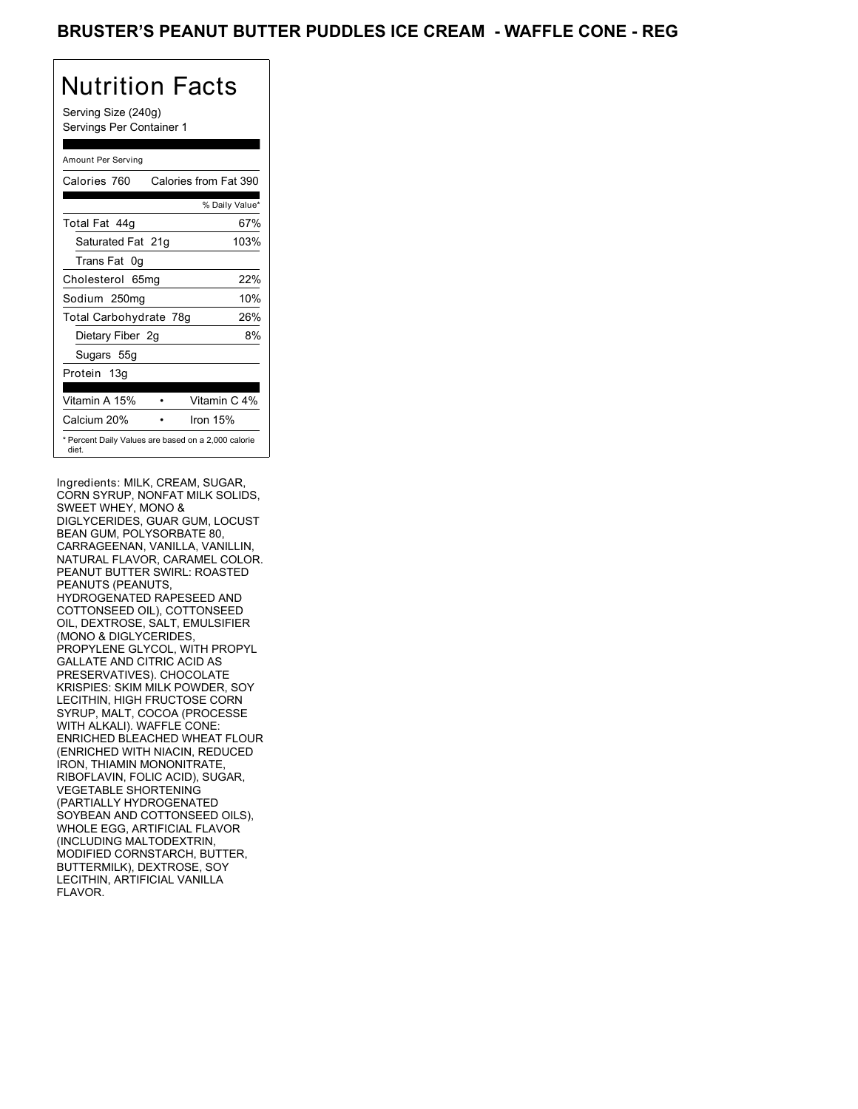### BRUSTER'S PEANUT BUTTER PUDDLES ICE CREAM - WAFFLE CONE - REG

# Nutrition Facts

Serving Size (240g) Servings Per Container 1

#### Amount Per Serving

| Calories 760                                                 | Calories from Fat 390 |                |
|--------------------------------------------------------------|-----------------------|----------------|
|                                                              |                       | % Daily Value* |
| Total Fat 44q                                                |                       | 67%            |
| Saturated Fat 21g                                            |                       | 103%           |
| Trans Fat 0q                                                 |                       |                |
| Cholesterol 65mg                                             |                       | 22%            |
| Sodium 250mg                                                 |                       | 10%            |
| Total Carbohydrate 78g                                       |                       | 26%            |
| Dietary Fiber 2g                                             |                       | 8%             |
| Sugars 55g                                                   |                       |                |
| Protein 13g                                                  |                       |                |
| Vitamin A 15%                                                |                       | Vitamin C 4%   |
| Calcium 20%                                                  | Iron 15%              |                |
| * Percent Daily Values are based on a 2,000 calorie<br>diet. |                       |                |

Ingredients: MILK, CREAM, SUGAR, CORN SYRUP, NONFAT MILK SOLIDS, SWEET WHEY, MONO & DIGLYCERIDES, GUAR GUM, LOCUST BEAN GUM, POLYSORBATE 80, CARRAGEENAN, VANILLA, VANILLIN, NATURAL FLAVOR, CARAMEL COLOR. PEANUT BUTTER SWIRL: ROASTED PEANUTS (PEANUTS, HYDROGENATED RAPESEED AND COTTONSEED OIL), COTTONSEED OIL, DEXTROSE, SALT, EMULSIFIER (MONO & DIGLYCERIDES, PROPYLENE GLYCOL, WITH PROPYL GALLATE AND CITRIC ACID AS PRESERVATIVES). CHOCOLATE KRISPIES: SKIM MILK POWDER, SOY LECITHIN, HIGH FRUCTOSE CORN SYRUP, MALT, COCOA (PROCESSE WITH ALKALI). WAFFLE CONE: ENRICHED BLEACHED WHEAT FLOUR (ENRICHED WITH NIACIN, REDUCED IRON, THIAMIN MONONITRATE, RIBOFLAVIN, FOLIC ACID), SUGAR, VEGETABLE SHORTENING (PARTIALLY HYDROGENATED SOYBEAN AND COTTONSEED OILS), WHOLE EGG, ARTIFICIAL FLAVOR (INCLUDING MALTODEXTRIN, MODIFIED CORNSTARCH, BUTTER, BUTTERMILK), DEXTROSE, SOY LECITHIN, ARTIFICIAL VANILLA FLAVOR.